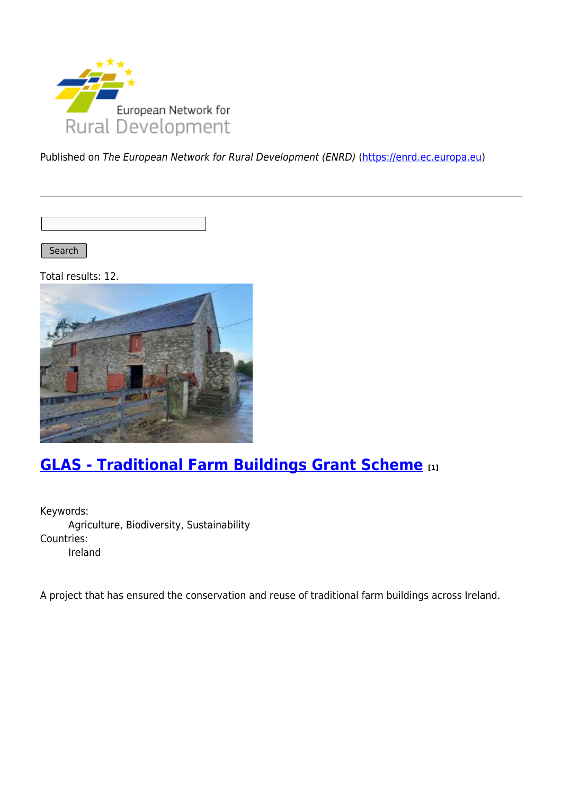

Published on The European Network for Rural Development (ENRD) [\(https://enrd.ec.europa.eu](https://enrd.ec.europa.eu))

Search |

Total results: 12.



# **[GLAS - Traditional Farm Buildings Grant Scheme](https://enrd.ec.europa.eu/projects-practice/glas-traditional-farm-buildings-grant-scheme_en) [1]**

Keywords: Agriculture, Biodiversity, Sustainability Countries: Ireland

A project that has ensured the conservation and reuse of traditional farm buildings across Ireland.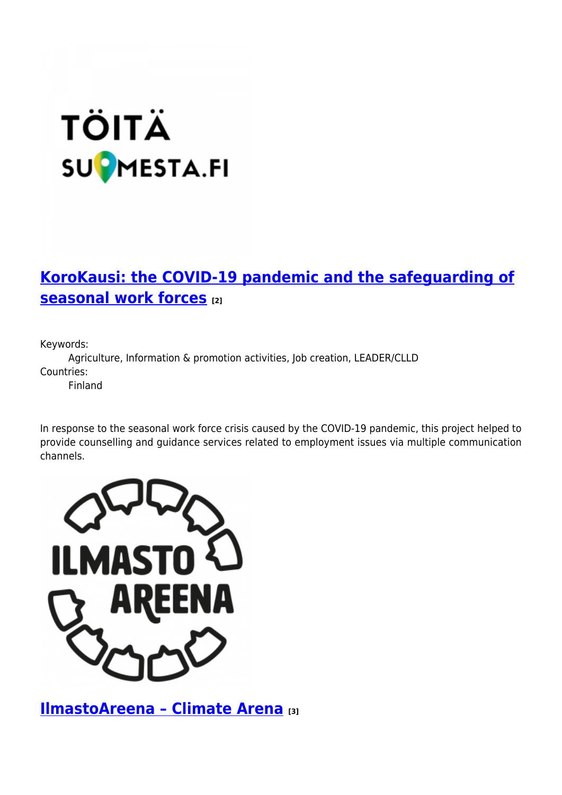# **TÖITÄ SUPMESTA.FI**

# **[KoroKausi: the COVID-19 pandemic and the safeguarding of](https://enrd.ec.europa.eu/projects-practice/korokausi-covid-19-pandemic-and-safeguarding-seasonal-work-forces_en) [seasonal work forces](https://enrd.ec.europa.eu/projects-practice/korokausi-covid-19-pandemic-and-safeguarding-seasonal-work-forces_en) [2]**

Keywords:

Agriculture, Information & promotion activities, Job creation, LEADER/CLLD Countries:

Finland

In response to the seasonal work force crisis caused by the COVID-19 pandemic, this project helped to provide counselling and guidance services related to employment issues via multiple communication channels.



**[IlmastoAreena – Climate Arena](https://enrd.ec.europa.eu/projects-practice/ilmastoareena-climate-arena_en) [3]**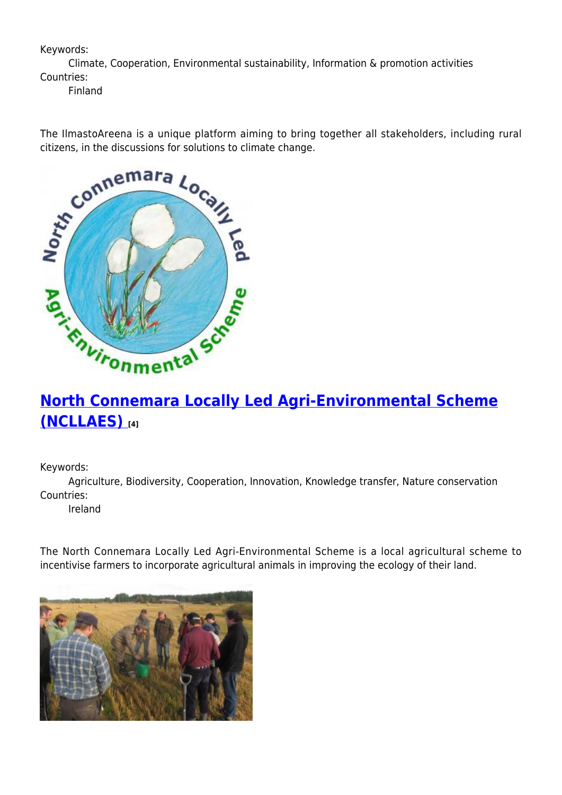### Keywords:

Climate, Cooperation, Environmental sustainability, Information & promotion activities Countries:

Finland

The IlmastoAreena is a unique platform aiming to bring together all stakeholders, including rural citizens, in the discussions for solutions to climate change.



# **[North Connemara Locally Led Agri-Environmental Scheme](https://enrd.ec.europa.eu/projects-practice/north-connemara-locally-led-agri-environmental-scheme-ncllaes_en) [\(NCLLAES\)](https://enrd.ec.europa.eu/projects-practice/north-connemara-locally-led-agri-environmental-scheme-ncllaes_en) [4]**

Keywords:

Agriculture, Biodiversity, Cooperation, Innovation, Knowledge transfer, Nature conservation Countries:

Ireland

The North Connemara Locally Led Agri-Environmental Scheme is a local agricultural scheme to incentivise farmers to incorporate agricultural animals in improving the ecology of their land.

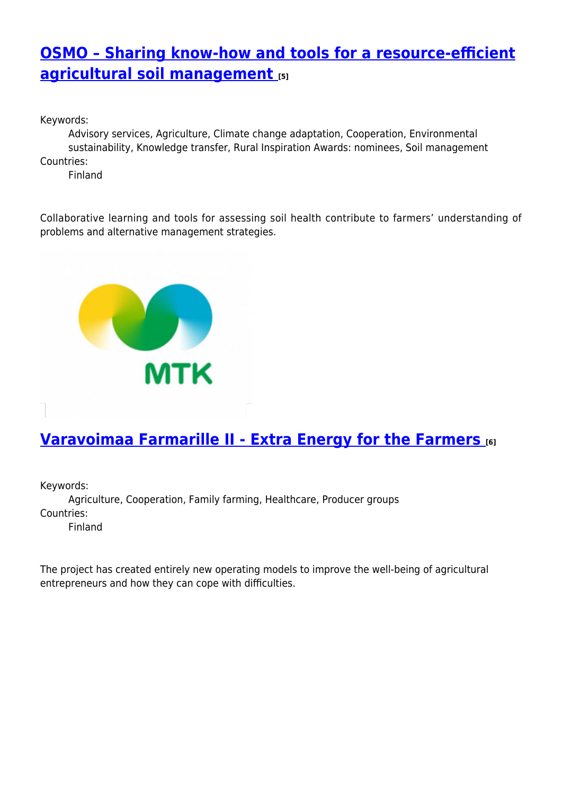# **[OSMO – Sharing know-how and tools for a resource-efficient](https://enrd.ec.europa.eu/projects-practice/osmo-sharing-know-how-and-tools-resource-efficient-agricultural-soil-management_en) [agricultural soil management](https://enrd.ec.europa.eu/projects-practice/osmo-sharing-know-how-and-tools-resource-efficient-agricultural-soil-management_en) [5]**

Keywords:

Advisory services, Agriculture, Climate change adaptation, Cooperation, Environmental sustainability, Knowledge transfer, Rural Inspiration Awards: nominees, Soil management Countries:

Finland

Collaborative learning and tools for assessing soil health contribute to farmers' understanding of problems and alternative management strategies.



# **[Varavoimaa Farmarille II - Extra Energy for the Farmers](https://enrd.ec.europa.eu/projects-practice/varavoimaa-farmarille-ii-extra-energy-farmers_en) [6]**

Keywords:

Agriculture, Cooperation, Family farming, Healthcare, Producer groups Countries:

Finland

The project has created entirely new operating models to improve the well-being of agricultural entrepreneurs and how they can cope with difficulties.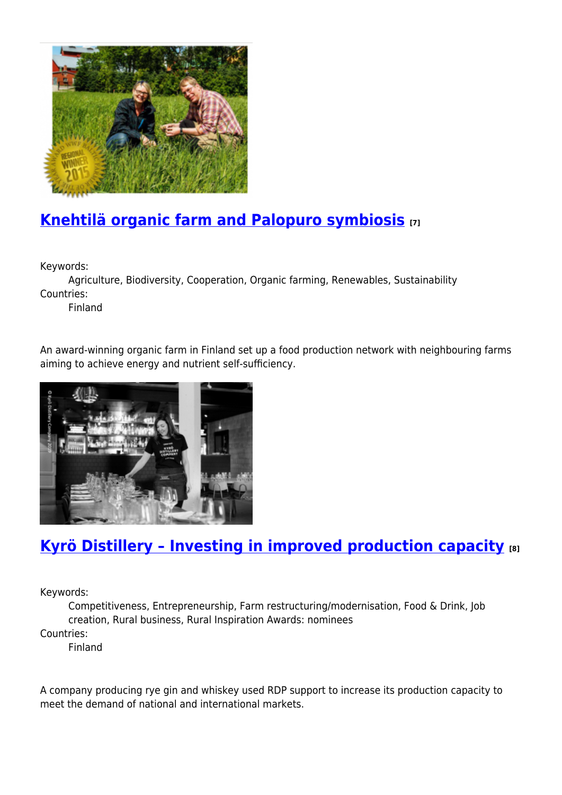

# **[Knehtilä organic farm and Palopuro symbiosis](https://enrd.ec.europa.eu/projects-practice/knehtila-organic-farm-and-palopuro-symbiosis_en) [7]**

Keywords:

Agriculture, Biodiversity, Cooperation, Organic farming, Renewables, Sustainability Countries:

Finland

An award-winning organic farm in Finland set up a food production network with neighbouring farms aiming to achieve energy and nutrient self-sufficiency.



# **[Kyrö Distillery – Investing in improved production capacity](https://enrd.ec.europa.eu/projects-practice/kyro-distillery-investing-improved-production-capacity_en) [8]**

Keywords:

Competitiveness, Entrepreneurship, Farm restructuring/modernisation, Food & Drink, Job creation, Rural business, Rural Inspiration Awards: nominees Countries:

Finland

A company producing rye gin and whiskey used RDP support to increase its production capacity to meet the demand of national and international markets.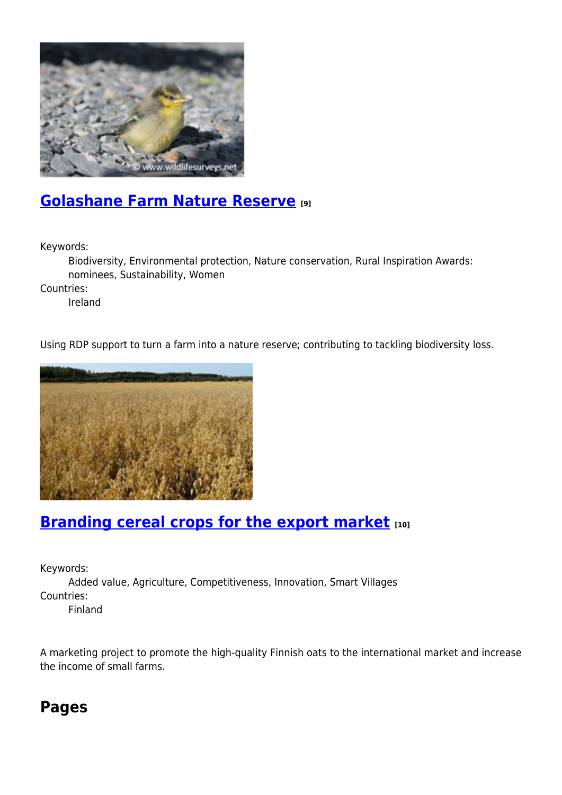

### **[Golashane Farm Nature Reserve](https://enrd.ec.europa.eu/projects-practice/golashane-farm-nature-reserve_en) [9]**

Keywords:

Biodiversity, Environmental protection, Nature conservation, Rural Inspiration Awards: nominees, Sustainability, Women

Countries:

Ireland

Using RDP support to turn a farm into a nature reserve; contributing to tackling biodiversity loss.



# **[Branding cereal crops for the export market](https://enrd.ec.europa.eu/projects-practice/branding-cereal-crops-export-market_en) [10]**

Keywords:

Added value, Agriculture, Competitiveness, Innovation, Smart Villages Countries:

Finland

A marketing project to promote the high-quality Finnish oats to the international market and increase the income of small farms.

### **Pages**